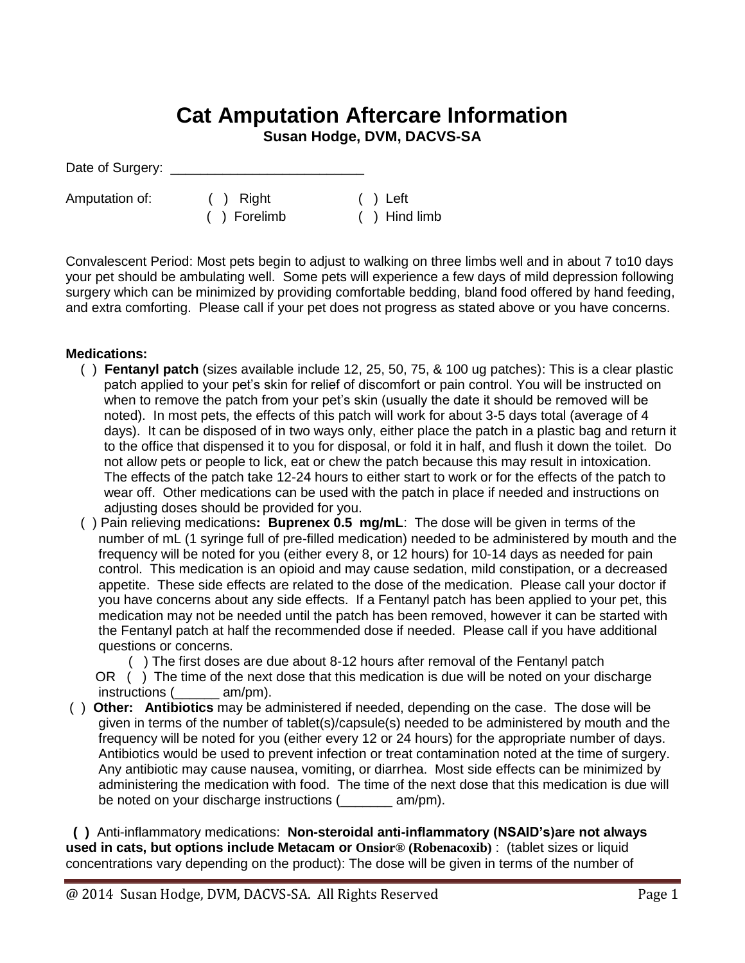## **Cat Amputation Aftercare Information**

**Susan Hodge, DVM, DACVS-SA**

Date of Surgery:

Amputation of: ( ) Right ( ) Left

( ) Forelimb ( ) Hind limb

Convalescent Period: Most pets begin to adjust to walking on three limbs well and in about 7 to10 days your pet should be ambulating well. Some pets will experience a few days of mild depression following surgery which can be minimized by providing comfortable bedding, bland food offered by hand feeding, and extra comforting. Please call if your pet does not progress as stated above or you have concerns.

## **Medications:**

- ( ) **Fentanyl patch** (sizes available include 12, 25, 50, 75, & 100 ug patches): This is a clear plastic patch applied to your pet's skin for relief of discomfort or pain control. You will be instructed on when to remove the patch from your pet's skin (usually the date it should be removed will be noted). In most pets, the effects of this patch will work for about 3-5 days total (average of 4 days). It can be disposed of in two ways only, either place the patch in a plastic bag and return it to the office that dispensed it to you for disposal, or fold it in half, and flush it down the toilet. Do not allow pets or people to lick, eat or chew the patch because this may result in intoxication. The effects of the patch take 12-24 hours to either start to work or for the effects of the patch to wear off. Other medications can be used with the patch in place if needed and instructions on adjusting doses should be provided for you.
- ( ) Pain relieving medications**: Buprenex 0.5 mg/mL**: The dose will be given in terms of the number of mL (1 syringe full of pre-filled medication) needed to be administered by mouth and the frequency will be noted for you (either every 8, or 12 hours) for 10-14 days as needed for pain control. This medication is an opioid and may cause sedation, mild constipation, or a decreased appetite. These side effects are related to the dose of the medication. Please call your doctor if you have concerns about any side effects. If a Fentanyl patch has been applied to your pet, this medication may not be needed until the patch has been removed, however it can be started with the Fentanyl patch at half the recommended dose if needed. Please call if you have additional questions or concerns.

( ) The first doses are due about 8-12 hours after removal of the Fentanyl patch

OR () The time of the next dose that this medication is due will be noted on your discharge instructions (  $am/pm$ ).

( ) **Other: Antibiotics** may be administered if needed, depending on the case. The dose will be given in terms of the number of tablet(s)/capsule(s) needed to be administered by mouth and the frequency will be noted for you (either every 12 or 24 hours) for the appropriate number of days. Antibiotics would be used to prevent infection or treat contamination noted at the time of surgery. Any antibiotic may cause nausea, vomiting, or diarrhea. Most side effects can be minimized by administering the medication with food. The time of the next dose that this medication is due will be noted on your discharge instructions (\_\_\_\_\_\_\_ am/pm).

 **( )** Anti-inflammatory medications: **Non-steroidal anti-inflammatory (NSAID's)are not always used in cats, but options include Metacam or Onsior® (Robenacoxib)** : (tablet sizes or liquid concentrations vary depending on the product): The dose will be given in terms of the number of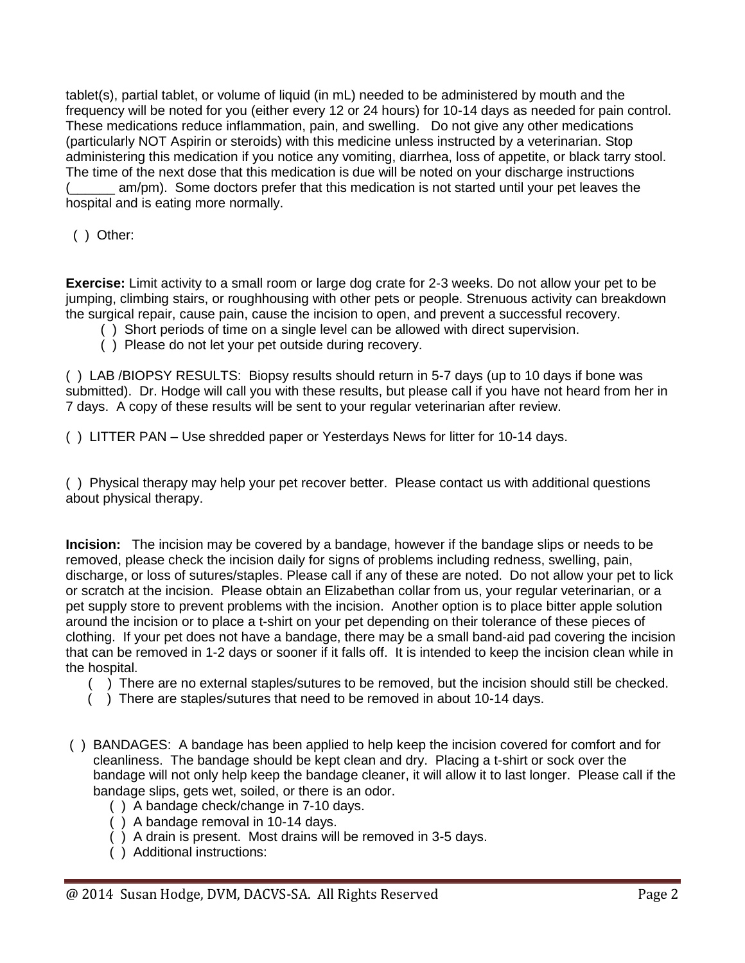tablet(s), partial tablet, or volume of liquid (in mL) needed to be administered by mouth and the frequency will be noted for you (either every 12 or 24 hours) for 10-14 days as needed for pain control. These medications reduce inflammation, pain, and swelling. Do not give any other medications (particularly NOT Aspirin or steroids) with this medicine unless instructed by a veterinarian. Stop administering this medication if you notice any vomiting, diarrhea, loss of appetite, or black tarry stool. The time of the next dose that this medication is due will be noted on your discharge instructions am/pm). Some doctors prefer that this medication is not started until your pet leaves the hospital and is eating more normally.

( ) Other:

**Exercise:** Limit activity to a small room or large dog crate for 2-3 weeks. Do not allow your pet to be jumping, climbing stairs, or roughhousing with other pets or people. Strenuous activity can breakdown the surgical repair, cause pain, cause the incision to open, and prevent a successful recovery.

- ( ) Short periods of time on a single level can be allowed with direct supervision.
- ( ) Please do not let your pet outside during recovery.

( ) LAB /BIOPSY RESULTS: Biopsy results should return in 5-7 days (up to 10 days if bone was submitted). Dr. Hodge will call you with these results, but please call if you have not heard from her in 7 days. A copy of these results will be sent to your regular veterinarian after review.

( ) LITTER PAN – Use shredded paper or Yesterdays News for litter for 10-14 days.

( ) Physical therapy may help your pet recover better. Please contact us with additional questions about physical therapy.

**Incision:** The incision may be covered by a bandage, however if the bandage slips or needs to be removed, please check the incision daily for signs of problems including redness, swelling, pain, discharge, or loss of sutures/staples. Please call if any of these are noted. Do not allow your pet to lick or scratch at the incision. Please obtain an Elizabethan collar from us, your regular veterinarian, or a pet supply store to prevent problems with the incision. Another option is to place bitter apple solution around the incision or to place a t-shirt on your pet depending on their tolerance of these pieces of clothing. If your pet does not have a bandage, there may be a small band-aid pad covering the incision that can be removed in 1-2 days or sooner if it falls off. It is intended to keep the incision clean while in the hospital.

- ( ) There are no external staples/sutures to be removed, but the incision should still be checked.
- ( ) There are staples/sutures that need to be removed in about 10-14 days.
- ( ) BANDAGES: A bandage has been applied to help keep the incision covered for comfort and for cleanliness. The bandage should be kept clean and dry. Placing a t-shirt or sock over the bandage will not only help keep the bandage cleaner, it will allow it to last longer. Please call if the bandage slips, gets wet, soiled, or there is an odor.
	- ( ) A bandage check/change in 7-10 days.
	- ( ) A bandage removal in 10-14 days.
	- ( ) A drain is present. Most drains will be removed in 3-5 days.
	- ( ) Additional instructions: